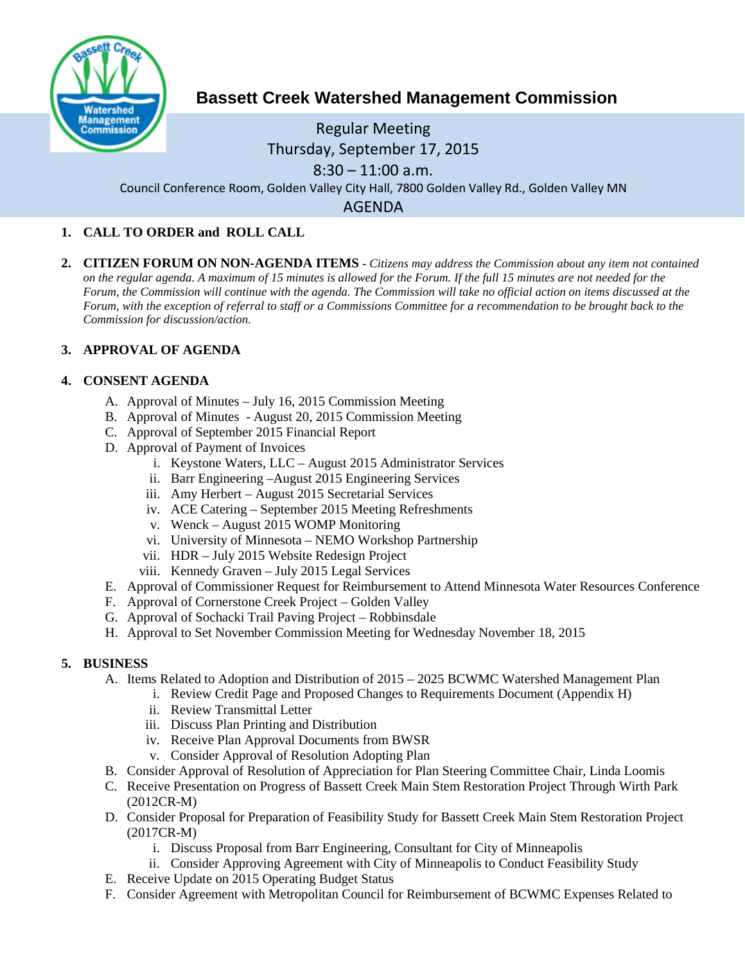

# **Bassett Creek Watershed Management Commission**

## Regular Meeting Thursday, September 17, 2015  $8:30 - 11:00$  a.m.

Council Conference Room, Golden Valley City Hall, 7800 Golden Valley Rd., Golden Valley MN

AGENDA

#### **1. CALL TO ORDER and ROLL CALL**

**2. CITIZEN FORUM ON NON-AGENDA ITEMS -** *Citizens may address the Commission about any item not contained on the regular agenda. A maximum of 15 minutes is allowed for the Forum. If the full 15 minutes are not needed for the Forum, the Commission will continue with the agenda. The Commission will take no official action on items discussed at the Forum, with the exception of referral to staff or a Commissions Committee for a recommendation to be brought back to the Commission for discussion/action.*

#### **3. APPROVAL OF AGENDA**

#### **4. CONSENT AGENDA**

- A. Approval of Minutes July 16, 2015 Commission Meeting
- B. Approval of Minutes August 20, 2015 Commission Meeting
- C. Approval of September 2015 Financial Report
- D. Approval of Payment of Invoices
	- i. Keystone Waters, LLC August 2015 Administrator Services
	- ii. Barr Engineering –August 2015 Engineering Services
	- iii. Amy Herbert August 2015 Secretarial Services
	- iv. ACE Catering September 2015 Meeting Refreshments
	- v. Wenck August 2015 WOMP Monitoring
	- vi. University of Minnesota NEMO Workshop Partnership
	- vii. HDR July 2015 Website Redesign Project
	- viii. Kennedy Graven July 2015 Legal Services
- E. Approval of Commissioner Request for Reimbursement to Attend Minnesota Water Resources Conference
- F. Approval of Cornerstone Creek Project Golden Valley
- G. Approval of Sochacki Trail Paving Project Robbinsdale
- H. Approval to Set November Commission Meeting for Wednesday November 18, 2015

#### **5. BUSINESS**

- A. Items Related to Adoption and Distribution of 2015 2025 BCWMC Watershed Management Plan
	- i. Review Credit Page and Proposed Changes to Requirements Document (Appendix H)
	- ii. Review Transmittal Letter
	- iii. Discuss Plan Printing and Distribution
	- iv. Receive Plan Approval Documents from BWSR
	- v. Consider Approval of Resolution Adopting Plan
- B. Consider Approval of Resolution of Appreciation for Plan Steering Committee Chair, Linda Loomis
- C. Receive Presentation on Progress of Bassett Creek Main Stem Restoration Project Through Wirth Park (2012CR-M)
- D. Consider Proposal for Preparation of Feasibility Study for Bassett Creek Main Stem Restoration Project (2017CR-M)
	- i. Discuss Proposal from Barr Engineering, Consultant for City of Minneapolis
	- ii. Consider Approving Agreement with City of Minneapolis to Conduct Feasibility Study
- E. Receive Update on 2015 Operating Budget Status
- F. Consider Agreement with Metropolitan Council for Reimbursement of BCWMC Expenses Related to